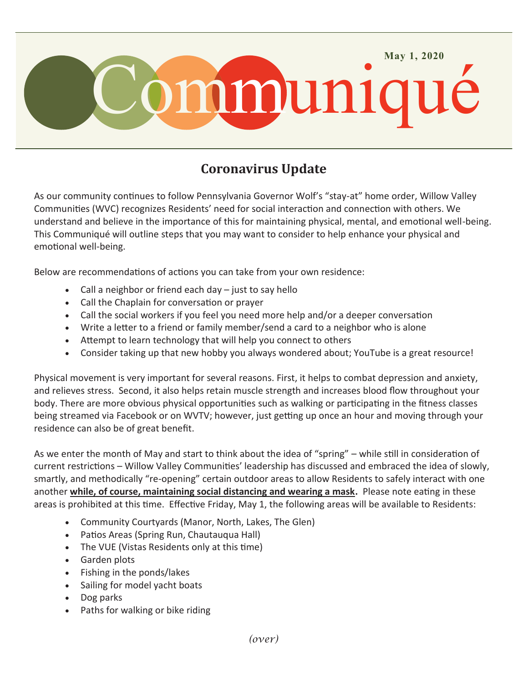

## **Coronavirus Update**

As our community continues to follow Pennsylvania Governor Wolf's "stay-at" home order, Willow Valley Communities (WVC) recognizes Residents' need for social interaction and connection with others. We understand and believe in the importance of this for maintaining physical, mental, and emotional well-being. This Communiqué will outline steps that you may want to consider to help enhance your physical and emotional well-being.

Below are recommendations of actions you can take from your own residence:

- Call a neighbor or friend each day just to say hello
- Call the Chaplain for conversation or prayer
- Call the social workers if you feel you need more help and/or a deeper conversation
- Write a letter to a friend or family member/send a card to a neighbor who is alone
- Attempt to learn technology that will help you connect to others
- Consider taking up that new hobby you always wondered about; YouTube is a great resource!

Physical movement is very important for several reasons. First, it helps to combat depression and anxiety, and relieves stress. Second, it also helps retain muscle strength and increases blood flow throughout your body. There are more obvious physical opportunities such as walking or participating in the fitness classes being streamed via Facebook or on WVTV; however, just getting up once an hour and moving through your residence can also be of great benefit.

As we enter the month of May and start to think about the idea of "spring" – while still in consideration of current restrictions – Willow Valley Communities' leadership has discussed and embraced the idea of slowly, smartly, and methodically "re-opening" certain outdoor areas to allow Residents to safely interact with one another **while, of course, maintaining social distancing and wearing a mask.** Please note eating in these areas is prohibited at this time. Effective Friday, May 1, the following areas will be available to Residents:

- Community Courtyards (Manor, North, Lakes, The Glen)
- Patios Areas (Spring Run, Chautauqua Hall)
- The VUE (Vistas Residents only at this time)
- Garden plots
- Fishing in the ponds/lakes
- Sailing for model yacht boats
- Dog parks
- Paths for walking or bike riding